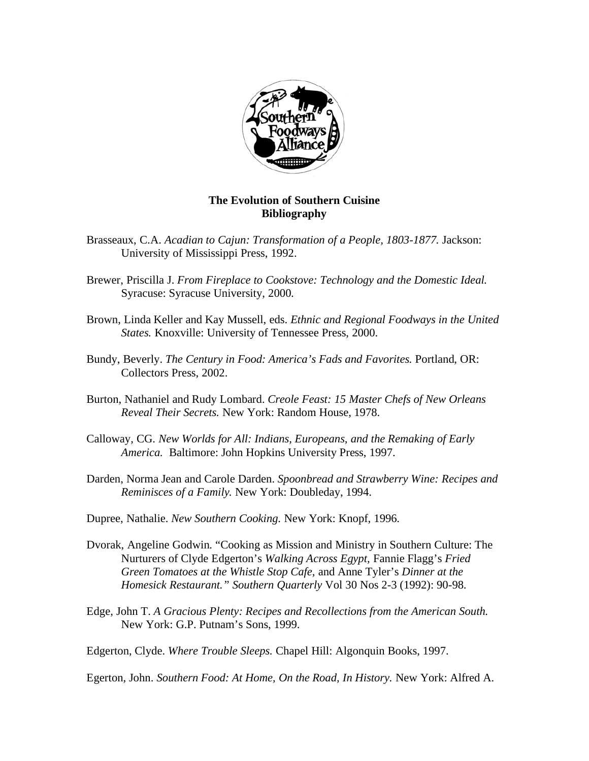

## **The Evolution of Southern Cuisine Bibliography**

- Brasseaux, C.A. *Acadian to Cajun: Transformation of a People, 1803-1877.* Jackson: University of Mississippi Press, 1992.
- Brewer, Priscilla J. *From Fireplace to Cookstove: Technology and the Domestic Ideal.*  Syracuse: Syracuse University, 2000.
- Brown, Linda Keller and Kay Mussell, eds. *Ethnic and Regional Foodways in the United States.* Knoxville: University of Tennessee Press, 2000.
- Bundy, Beverly. *The Century in Food: America's Fads and Favorites.* Portland, OR: Collectors Press, 2002.
- Burton, Nathaniel and Rudy Lombard. *Creole Feast: 15 Master Chefs of New Orleans Reveal Their Secrets.* New York: Random House, 1978.
- Calloway, CG. *New Worlds for All: Indians, Europeans, and the Remaking of Early America.* Baltimore: John Hopkins University Press, 1997.
- Darden, Norma Jean and Carole Darden. *Spoonbread and Strawberry Wine: Recipes and Reminisces of a Family.* New York: Doubleday, 1994.
- Dupree, Nathalie. *New Southern Cooking.* New York: Knopf, 1996.
- Dvorak, Angeline Godwin. "Cooking as Mission and Ministry in Southern Culture: The Nurturers of Clyde Edgerton's *Walking Across Egypt,* Fannie Flagg's *Fried Green Tomatoes at the Whistle Stop Cafe,* and Anne Tyler's *Dinner at the Homesick Restaurant." Southern Quarterly* Vol 30 Nos 2-3 (1992): 90-98.
- Edge, John T. *A Gracious Plenty: Recipes and Recollections from the American South.*  New York: G.P. Putnam's Sons, 1999.

Edgerton, Clyde. *Where Trouble Sleeps.* Chapel Hill: Algonquin Books, 1997.

Egerton, John. *Southern Food: At Home, On the Road, In History.* New York: Alfred A.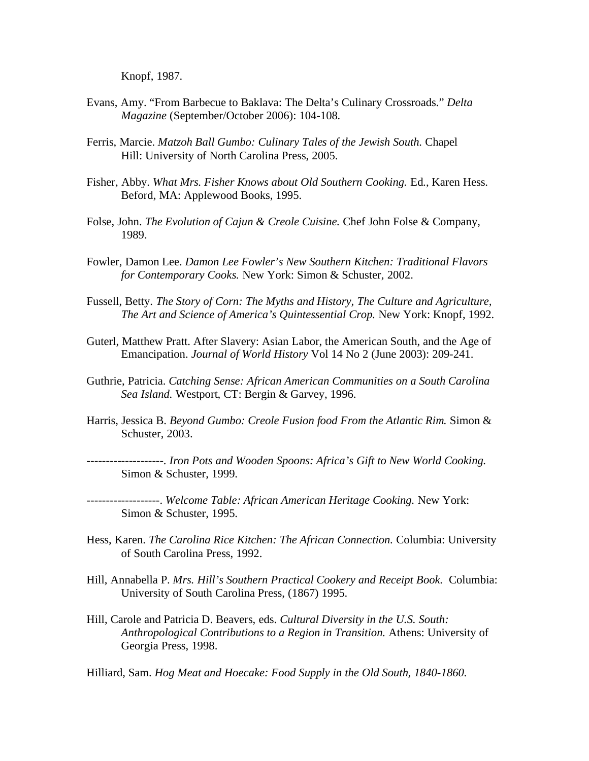Knopf, 1987.

- Evans, Amy. "From Barbecue to Baklava: The Delta's Culinary Crossroads." *Delta Magazine* (September/October 2006): 104-108*.*
- Ferris, Marcie. *Matzoh Ball Gumbo: Culinary Tales of the Jewish South.* Chapel Hill: University of North Carolina Press, 2005.
- Fisher, Abby. *What Mrs. Fisher Knows about Old Southern Cooking.* Ed., Karen Hess. Beford, MA: Applewood Books, 1995.
- Folse, John. *The Evolution of Cajun & Creole Cuisine.* Chef John Folse & Company, 1989.
- Fowler, Damon Lee. *Damon Lee Fowler's New Southern Kitchen: Traditional Flavors for Contemporary Cooks.* New York: Simon & Schuster, 2002.
- Fussell, Betty. *The Story of Corn: The Myths and History, The Culture and Agriculture, The Art and Science of America's Quintessential Crop.* New York: Knopf, 1992.
- Guterl, Matthew Pratt. After Slavery: Asian Labor, the American South, and the Age of Emancipation. *Journal of World History* Vol 14 No 2 (June 2003): 209-241.
- Guthrie, Patricia. *Catching Sense: African American Communities on a South Carolina Sea Island.* Westport, CT: Bergin & Garvey, 1996.
- Harris, Jessica B. *Beyond Gumbo: Creole Fusion food From the Atlantic Rim.* Simon & Schuster, 2003.

--------------------. *Iron Pots and Wooden Spoons: Africa's Gift to New World Cooking.*  Simon & Schuster, 1999.

-------------------. *Welcome Table: African American Heritage Cooking.* New York: Simon & Schuster, 1995.

- Hess, Karen. *The Carolina Rice Kitchen: The African Connection.* Columbia: University of South Carolina Press, 1992.
- Hill, Annabella P. *Mrs. Hill's Southern Practical Cookery and Receipt Book.* Columbia: University of South Carolina Press, (1867) 1995.
- Hill, Carole and Patricia D. Beavers, eds. *Cultural Diversity in the U.S. South: Anthropological Contributions to a Region in Transition.* Athens: University of Georgia Press, 1998.

Hilliard, Sam. *Hog Meat and Hoecake: Food Supply in the Old South, 1840-1860*.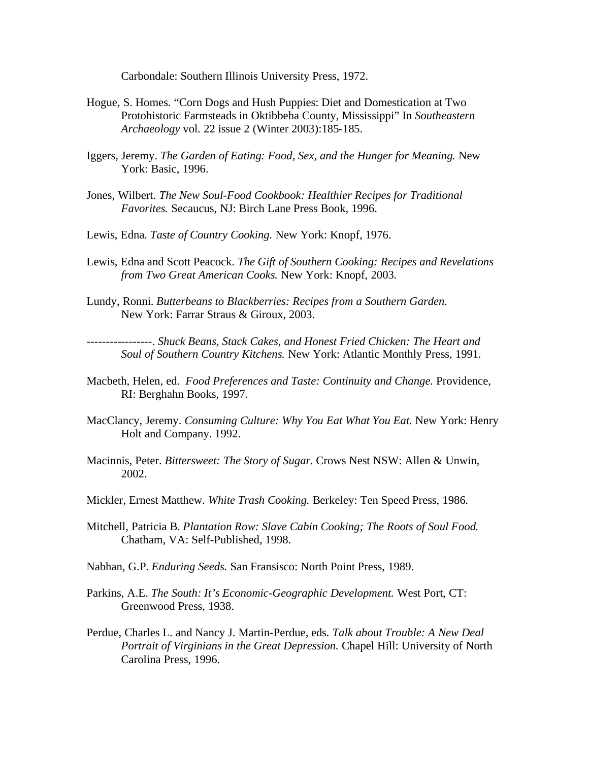Carbondale: Southern Illinois University Press, 1972.

- Hogue, S. Homes. "Corn Dogs and Hush Puppies: Diet and Domestication at Two Protohistoric Farmsteads in Oktibbeha County, Mississippi" In *Southeastern Archaeology* vol*.* 22 issue 2 (Winter 2003):185-185.
- Iggers, Jeremy. *The Garden of Eating: Food, Sex, and the Hunger for Meaning.* New York: Basic, 1996.
- Jones, Wilbert. *The New Soul-Food Cookbook: Healthier Recipes for Traditional Favorites.* Secaucus, NJ: Birch Lane Press Book, 1996.
- Lewis, Edna. *Taste of Country Cooking.* New York: Knopf, 1976.
- Lewis, Edna and Scott Peacock. *The Gift of Southern Cooking: Recipes and Revelations from Two Great American Cooks.* New York: Knopf, 2003.
- Lundy, Ronni. *Butterbeans to Blackberries: Recipes from a Southern Garden.*  New York: Farrar Straus & Giroux, 2003.

-----------------. *Shuck Beans, Stack Cakes, and Honest Fried Chicken: The Heart and Soul of Southern Country Kitchens.* New York: Atlantic Monthly Press, 1991.

- Macbeth, Helen, ed. *Food Preferences and Taste: Continuity and Change.* Providence, RI: Berghahn Books, 1997.
- MacClancy, Jeremy. *Consuming Culture: Why You Eat What You Eat.* New York: Henry Holt and Company. 1992.
- Macinnis, Peter. *Bittersweet: The Story of Sugar.* Crows Nest NSW: Allen & Unwin, 2002.
- Mickler, Ernest Matthew. *White Trash Cooking.* Berkeley: Ten Speed Press, 1986.
- Mitchell, Patricia B. *Plantation Row: Slave Cabin Cooking; The Roots of Soul Food.*  Chatham, VA: Self-Published, 1998.
- Nabhan, G.P. *Enduring Seeds.* San Fransisco: North Point Press, 1989.
- Parkins, A.E. *The South: It's Economic-Geographic Development.* West Port, CT: Greenwood Press, 1938.
- Perdue, Charles L. and Nancy J. Martin-Perdue, eds. *Talk about Trouble: A New Deal Portrait of Virginians in the Great Depression.* Chapel Hill: University of North Carolina Press, 1996.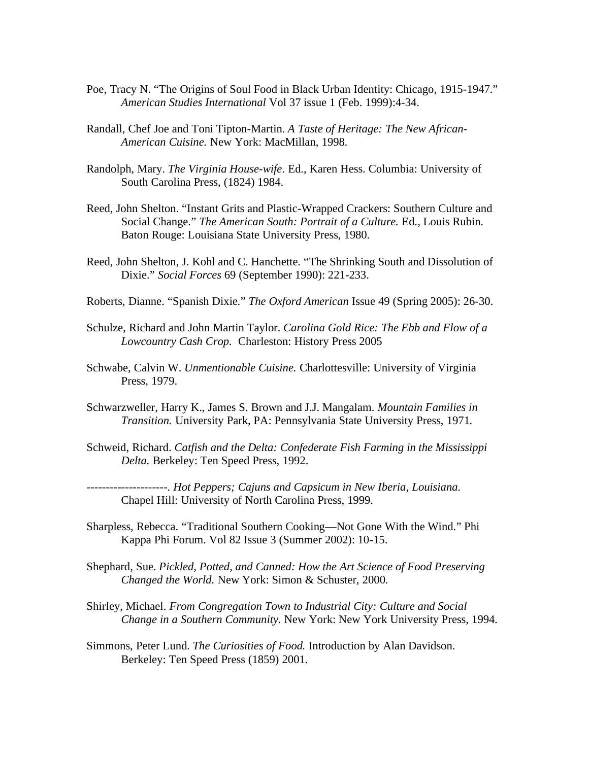- Poe, Tracy N. "The Origins of Soul Food in Black Urban Identity: Chicago, 1915-1947." *American Studies International* Vol 37 issue 1 (Feb. 1999):4-34.
- Randall, Chef Joe and Toni Tipton-Martin. *A Taste of Heritage: The New African-American Cuisine.* New York: MacMillan, 1998.
- Randolph, Mary. *The Virginia House-wife*. Ed., Karen Hess. Columbia: University of South Carolina Press, (1824) 1984.
- Reed, John Shelton. "Instant Grits and Plastic-Wrapped Crackers: Southern Culture and Social Change." *The American South: Portrait of a Culture.* Ed., Louis Rubin. Baton Rouge: Louisiana State University Press, 1980.
- Reed, John Shelton, J. Kohl and C. Hanchette. "The Shrinking South and Dissolution of Dixie." *Social Forces* 69 (September 1990): 221-233.
- Roberts, Dianne. "Spanish Dixie." *The Oxford American* Issue 49 (Spring 2005): 26-30.
- Schulze, Richard and John Martin Taylor. *Carolina Gold Rice: The Ebb and Flow of a Lowcountry Cash Crop.* Charleston: History Press 2005
- Schwabe, Calvin W. *Unmentionable Cuisine.* Charlottesville: University of Virginia Press, 1979.
- Schwarzweller, Harry K., James S. Brown and J.J. Mangalam. *Mountain Families in Transition.* University Park, PA: Pennsylvania State University Press, 1971.
- Schweid, Richard. *Catfish and the Delta: Confederate Fish Farming in the Mississippi Delta.* Berkeley: Ten Speed Press, 1992.

---------------------. *Hot Peppers; Cajuns and Capsicum in New Iberia, Louisiana.*  Chapel Hill: University of North Carolina Press, 1999.

- Sharpless, Rebecca. "Traditional Southern Cooking—Not Gone With the Wind." Phi Kappa Phi Forum. Vol 82 Issue 3 (Summer 2002): 10-15.
- Shephard, Sue. *Pickled, Potted, and Canned: How the Art Science of Food Preserving Changed the World.* New York: Simon & Schuster, 2000.
- Shirley, Michael. *From Congregation Town to Industrial City: Culture and Social Change in a Southern Community.* New York: New York University Press, 1994.
- Simmons, Peter Lund. *The Curiosities of Food.* Introduction by Alan Davidson. Berkeley: Ten Speed Press (1859) 2001.